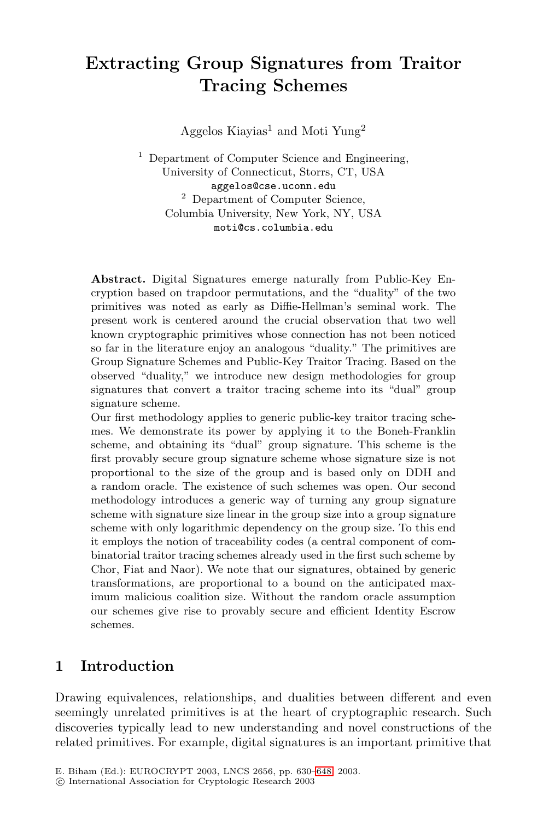# **Extracting Group Signatures from Traitor Tracing Schemes**

Aggelos Kiayias<sup>1</sup> and Moti Yung<sup>2</sup>

 $^{\rm 1}$  Department of Computer Science and Engineering, University of Connecticut, Storrs, CT, USA aggelos@cse.uconn.edu <sup>2</sup> Department of Computer Science, Columbia University, New York, NY, USA moti@cs.columbia.edu

**Abstract.** Digital Signatures emerge naturally from Public-Key Encryption based on trapdoor permutations, and the "duality" of the two primitives was noted as early as Diffie-Hellman's seminal work. The present work is centered around the crucial observation that two well known cryptographic primitives whose connection has not been noticed so far in the literature enjoy an analogous "duality." The primitives are Group Signature Schemes and Public-Key Traitor Tracing. Based on the observed "duality," we introduce new design methodologies for group signatures that convert a traitor tracing scheme into its "dual" group signature scheme.

Our first methodology applies to generic public-key traitor tracing schemes. We demonstrate its power by applying it to the Boneh-Franklin scheme, and obtaining its "dual" group signature. This scheme is the first provably secure group signature scheme whose signature size is not proportional to the size of the group and is based only on DDH and a random oracle. The existence of such schemes was open. Our second methodology introduces a generic way of turning any group signature scheme with signature size linear in the group size into a group signature scheme with only logarithmic dependency on the group size. To this end it employs the notion of traceability codes (a central component of combinatorial traitor tracing schemes already used in the first such scheme by Chor, Fiat and Naor). We note that our signatures, obtained by generic transformations, are proportional to a bound on the anticipated maximum malicious coalition size. Without the random oracle assumption our schemes give ris[e to](#page-17-0) provably secure and efficient Identity Escrow schemes.

### **1 Introduction**

Drawing equivalences, relationships, and dualities between different and even seemingly unrelated primitives is at the heart of cryptographic research. Such discoveries typically lead to new understanding and novel constructions of the related primitives. For example, digital signatures is an important primitive that

E. Biham (Ed.): EUROCRYPT 2003, LNCS 2656, pp. 630–648, 2003.

c International Association for Cryptologic Research 2003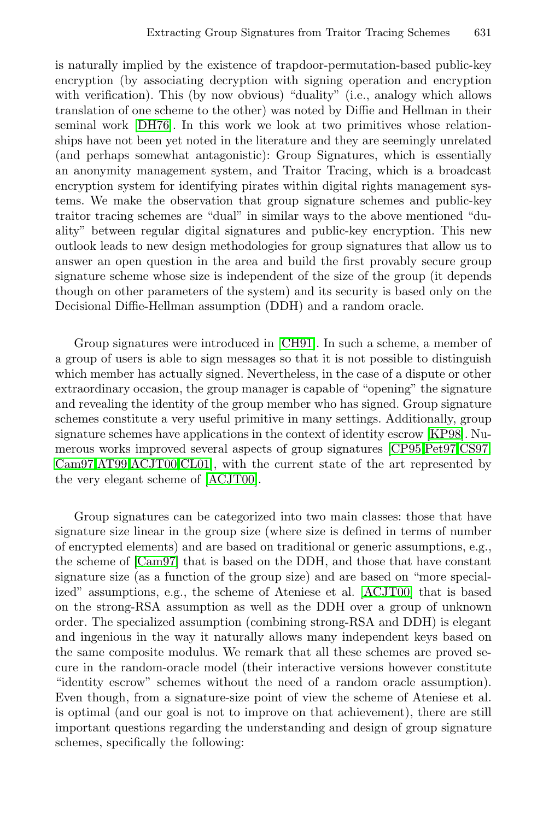is naturally implied by the existence of trapdoor-permutation-based public-key encryption (by associating decryption with signing operation and encryption with verification). This (by now obvious) "duality" (i.e., analogy which allows translation of one scheme to the other) was noted by Diffie and Hellman in their seminal work [\[DH76\]](#page-16-0). In this work we look at two primitives whose relationships have not been yet noted in the literature and they are seemingly unrelated (and perhaps somewhat antagonistic): Group Signatures, which is essentially an anonymity management system, and Traitor Tracing, which is a broadcast encryption system for identifying pirates within digital rights management systems. We make the observation that group signature schemes and public-key traitor tracing schemes are "dual" in similar ways to the above mentioned "duality" between regular digital signatures and public-key encryption. This new outlook leads to new design methodologies for group signatures that allow us to answer an open question in the area and build the first provably secure group signature scheme whose size is independent of the size of the group (it depends though on other parameters of the system) and its security is based only on the Decisional Diffie-Hellman assumption (DDH) and a random oracle.

Group signatures were introduced in [\[CH91\]](#page-16-0). In such a scheme, a member of a group of users is able to sign messages so that it is not possible to distinguish which member has actually signed. Nevertheless, in the case of a dispute or other extraordinary occasion, the group manager is capable of "opening" the signature and revealing the identity of the group member who has signed. Group signature schemes constitute a very useful primitive in many settings. Additionally, group signature schemes have applications in the context of identity escrow [\[KP98\]](#page-17-0). Numerous works improved several aspects of group signatures [\[CP95,](#page-16-0)[Pet97](#page-17-0)[,CS97,](#page-16-0) [Cam97,AT99,ACJT00,CL01\]](#page-15-0), with the current state of the art represented by the very elegant scheme of [\[ACJT00\]](#page-15-0).

Group signatures can be categorized into two main classes: those that have signature size linear in the group size (where size is defined in terms of number of encrypted elements) and are based on traditional or generic assumptions, e.g., the scheme of [\[Cam97\]](#page-15-0) that is based on the DDH, and those that have constant signature size (as a function of the group size) and are based on "more specialized" assumptions, e.g., the scheme of Ateniese et al. [\[ACJT00\]](#page-15-0) that is based on the strong-RSA assumption as well as the DDH over a group of unknown order. The specialized assumption (combining strong-RSA and DDH) is elegant and ingenious in the way it naturally allows many independent keys based on the same composite modulus. We remark that all these schemes are proved secure in the random-oracle model (their interactive versions however constitute "identity escrow" schemes without the need of a random oracle assumption). Even though, from a signature-size point of view the scheme of Ateniese et al. is optimal (and our goal is not to improve on that achievement), there are still important questions regarding the understanding and design of group signature schemes, specifically the following: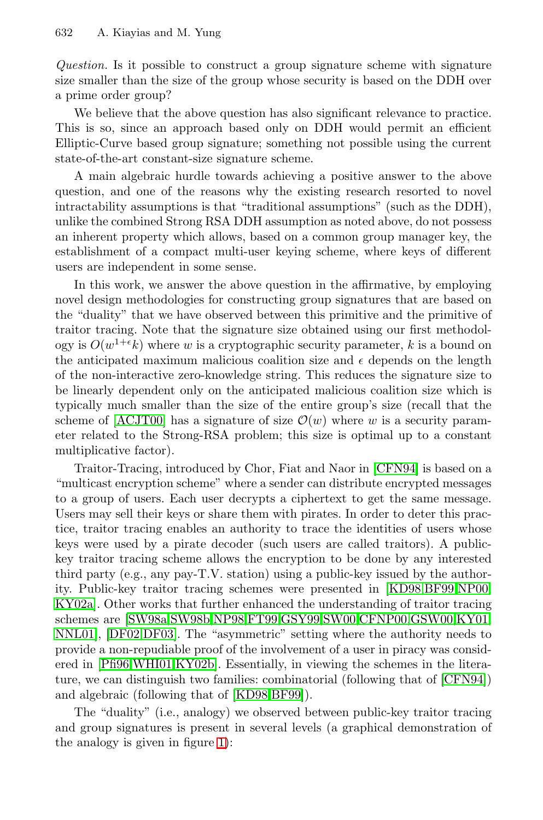*Question.* Is it possible to construct a group signature scheme with signature size smaller than the size of the group whose security is based on the DDH over a prime order group?

We believe that the above question has also significant relevance to practice. This is so, since an approach based only on DDH would permit an efficient Elliptic-Curve based group signature; something not possible using the current state-of-the-art constant-size signature scheme.

A main algebraic hurdle towards achieving a positive answer to the above question, and one of the reasons why the existing research resorted to novel intractability assumptions is that "traditional assumptions" (such as the DDH), unlike the combined Strong RSA DDH assumption as noted above, do not possess an inherent property which allows, based on a common group manager key, the establishment of a compact multi-user keying scheme, where keys of different users are independent in some sense.

In this work, we answer the above question in the affirmative, by employing novel design methodologies for constructing group signatures that are based on the "duality" that we have observed between this primitive and the primitive of traitor tracing. Note that the signature size obtained using our first methodology is  $O(w^{1+\epsilon}k)$  where w is a cryptographic security parameter, k is a bound on the anticipated maximum malicious coalition size and  $\epsilon$  depends on the length of the non-interactive zero-knowledge string. This reduces the signature size to be linearly dependent only on the anticipated malicious coalition size which is typically much smaller than the size of the entire group's size (recall that the scheme of  $[ACJTO0]$  has a signature of size  $\mathcal{O}(w)$  where w is a security parameter related to the Strong-RSA problem; this size is optimal up to a constant multiplicative factor).

Traitor-Tracing, introduced by Chor, Fiat and Naor in [\[CFN94\]](#page-16-0) is based on a "multicast encryption scheme" where a sender can distribute encrypted messages to a group of users. Each user decrypts a ciphertext to get the same message. Users may sell their keys or share them with pirates. In order to deter this practice, traitor tracing enables an authority to trace the identities of users whose keys were used by a pirate decoder (such users are called traitors). A publickey traitor tracing scheme allows the encryption to be done by any interested third party (e.g., any pay-T.V. station) using a public-key issued by the authority. Public-key traitor tracing schemes were presented in [\[KD98,](#page-17-0)[BF99,](#page-15-0)[NP00,](#page-17-0) [KY02a\]](#page-17-0). Other works that further enhanced the understanding of traitor tracing schemes are [\[SW98a](#page-17-0)[,SW98b](#page-18-0)[,NP98](#page-17-0)[,FT99,GSY99](#page-16-0)[,SW00,](#page-17-0)[CFNP00,GSW00,KY01,](#page-16-0) [NNL01\]](#page-17-0), [\[DF02,DF03\]](#page-16-0). The "asymmetric" setting where the authority needs to provide a non-repudiable proof of the involvement of a user in piracy was considered in [\[Pfi96](#page-17-0)[,WHI01](#page-18-0)[,KY02b\]](#page-17-0). Essentially, in viewing the schemes in the literature, we can distinguish two families: combinatorial (following that of [\[CFN94\]](#page-16-0)) and algebraic (following that of [\[KD98](#page-17-0)[,BF99\]](#page-15-0)).

The "duality" (i.e., analogy) we observed between public-key traitor tracing and group signatures is present in several levels (a graphical demonstration of the analogy is given in figure [1\)](#page-3-0):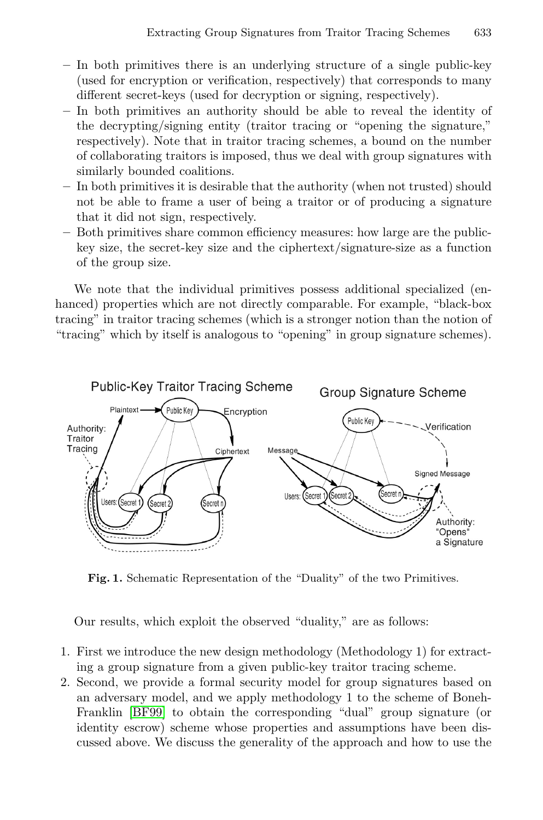- <span id="page-3-0"></span>**–** In both primitives there is an underlying structure of a single public-key (used for encryption or verification, respectively) that corresponds to many different secret-keys (used for decryption or signing, respectively).
- **–** In both primitives an authority should be able to reveal the identity of the decrypting/signing entity (traitor tracing or "opening the signature," respectively). Note that in traitor tracing schemes, a bound on the number of collaborating traitors is imposed, thus we deal with group signatures with similarly bounded coalitions.
- **–** In both primitives it is desirable that the authority (when not trusted) should not be able to frame a user of being a traitor or of producing a signature that it did not sign, respectively.
- **–** Both primitives share common efficiency measures: how large are the publickey size, the secret-key size and the ciphertext/signature-size as a function of the group size.

We note that the individual primitives possess additional specialized (enhanced) properties which are not directly comparable. For example, "black-box tracing" in traitor tracing schemes (which is a stronger notion than the notion of "tracing" which by itself is analogous to "opening" in group signature schemes).



**Fig. 1.** Schematic Representation of the "Duality" of the two Primitives.

Our results, which exploit the observed "duality," are as follows:

- 1. First we introduce the new design methodology (Methodology 1) for extracting a group signature from a given public-key traitor tracing scheme.
- 2. Second, we provide a formal security model for group signatures based on an adversary model, and we apply methodology 1 to the scheme of Boneh-Franklin [\[BF99\]](#page-15-0) to obtain the corresponding "dual" group signature (or identity escrow) scheme whose properties and assumptions have been discussed above. We discuss the generality of the approach and how to use the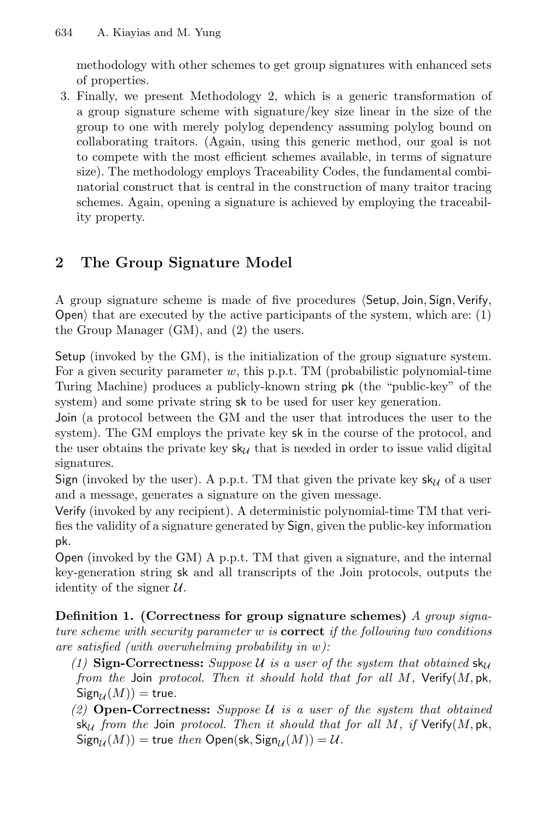<span id="page-4-0"></span>methodology with other schemes to get group signatures with enhanced sets of properties.

3. Finally, we present Methodology 2, which is a generic transformation of a group signature scheme with signature/key size linear in the size of the group to one with merely polylog dependency assuming polylog bound on collaborating traitors. (Again, using this generic method, our goal is not to compete with the most efficient schemes available, in terms of signature size). The methodology employs Traceability Codes, the fundamental combinatorial construct that is central in the construction of many traitor tracing schemes. Again, opening a signature is achieved by employing the traceability property.

## **2 The Group Signature Model**

A group signature scheme is made of five procedures (Setup, Join, Sign, Verify, Open) that are executed by the active participants of the system, which are:  $(1)$ the Group Manager (GM), and (2) the users.

Setup (invoked by the GM), is the initialization of the group signature system. For a given security parameter  $w$ , this p.p.t. TM (probabilistic polynomial-time Turing Machine) produces a publicly-known string pk (the "public-key" of the system) and some private string sk to be used for user key generation.

Join (a protocol between the GM and the user that introduces the user to the system). The GM employs the private key sk in the course of the protocol, and the user obtains the private key  $sk_{\mathcal{U}}$  that is needed in order to issue valid digital signatures.

Sign (invoked by the user). A p.p.t. TM that given the private key  $sk_{\mathcal{U}}$  of a user and a message, generates a signature on the given message.

Verify (invoked by any recipient). A deterministic polynomial-time TM that verifies the validity of a signature generated by Sign, given the public-key information pk.

Open (invoked by the GM) A p.p.t. TM that given a signature, and the internal key-generation string sk and all transcripts of the Join protocols, outputs the identity of the signer  $U$ .

**Definition 1. (Correctness for group signature schemes)** *A group signature scheme with security parameter* w *is* **correct** *if the following two conditions are satisfied (with overwhelming probability in* w*):*

- (1) **Sign-Correctness:** *Suppose*  $U$  *is a user of the system that obtained*  $sk_{U}$ *from the* Join *protocol. Then it should hold that for all* M*,* Verify(M, pk,  $Sign_{\mathcal{U}}(M)) =$  true.
- *(2)* **Open-Correctness:** *Suppose* U *is a user of the system that obtained*  $sk_{\mathcal{U}}$  *from the Join protocol. Then it should that for all M, if* Verify $(M, pk,$  $Sign_{\mathcal{U}}(M)) =$  true *then* Open(sk,  $Sign_{\mathcal{U}}(M)) = \mathcal{U}$ .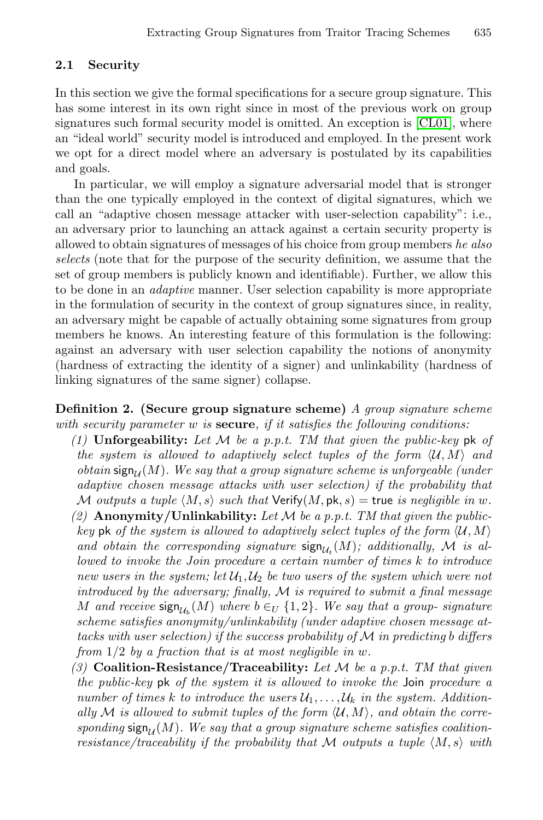#### <span id="page-5-0"></span>**2.1 Security**

In this section we give the formal specifications for a secure group signature. This has some interest in its own right since in most of the previous work on group signatures such formal security model is omitted. An exception is [\[CL01\]](#page-15-0), where an "ideal world" security model is introduced and employed. In the present work we opt for a direct model where an adversary is postulated by its capabilities and goals.

In particular, we will employ a signature adversarial model that is stronger than the one typically employed in the context of digital signatures, which we call an "adaptive chosen message attacker with user-selection capability": i.e., an adversary prior to launching an attack against a certain security property is allowed to obtain signatures of messages of his choice from group members *he also selects* (note that for the purpose of the security definition, we assume that the set of group members is publicly known and identifiable). Further, we allow this to be done in an *adaptive* manner. User selection capability is more appropriate in the formulation of security in the context of group signatures since, in reality, an adversary might be capable of actually obtaining some signatures from group members he knows. An interesting feature of this formulation is the following: against an adversary with user selection capability the notions of anonymity (hardness of extracting the identity of a signer) and unlinkability (hardness of linking signatures of the same signer) collapse.

**Definition 2. (Secure group signature scheme)** *A group signature scheme with security parameter* w *is* **secure***, if it satisfies the following conditions:*

- *(1)* **Unforgeability:** *Let* M *be a p.p.t. TM that given the public-key* pk *of the system is allowed to adaptively select tuples of the form*  $\langle U, M \rangle$  and *obtain* sign<sub> $U(M)$ </sub>. We say that a group signature scheme is unforgeable (under *adaptive chosen message attacks with user selection) if the probability that* M outputs a tuple  $\langle M, s \rangle$  such that  $\mathsf{Verify}(M, \mathsf{pk}, s) = \mathsf{true}$  is negligible in w.
- (2) **Anonymity/Unlinkability:** Let  $M$  be a p.p.t. TM that given the public*key* pk *of the system is allowed to adaptively select tuples of the form*  $\langle U, M \rangle$ and obtain the corresponding signature  $\text{sign}_{\mathcal{U}_t}(M)$ ; additionally, M is al*lowed to invoke the Join procedure a certain number of times* k *to introduce new users in the system; let*  $U_1, U_2$  *be two users of the system which were not introduced by the adversary; finally,* M *is required to submit a final message* M and receive  $\text{sign}_{\mathcal{U}_k}(M)$  where  $b \in_U \{1,2\}$ . We say that a group-signature *scheme satisfies anonymity/unlinkability (under adaptive chosen message attacks with user selection) if the success probability of* M *in predicting* b *differs from* 1/2 *by a fraction that is at most negligible in* w*.*
- *(3)* **Coalition-Resistance/Traceability:** *Let* M *be a p.p.t. TM that given the public-key* pk *of the system it is allowed to invoke the* Join *procedure a number of times* k to introduce the users  $\mathcal{U}_1, \ldots, \mathcal{U}_k$  in the system. Additionally M is allowed to submit tuples of the form  $\langle U, M \rangle$ , and obtain the corre $sponding$  sign<sub>1</sub> $(M)$ *. We say that a group signature scheme satisfies coalitionresistance/traceability if the probability that*  $M$  *outputs a tuple*  $\langle M, s \rangle$  with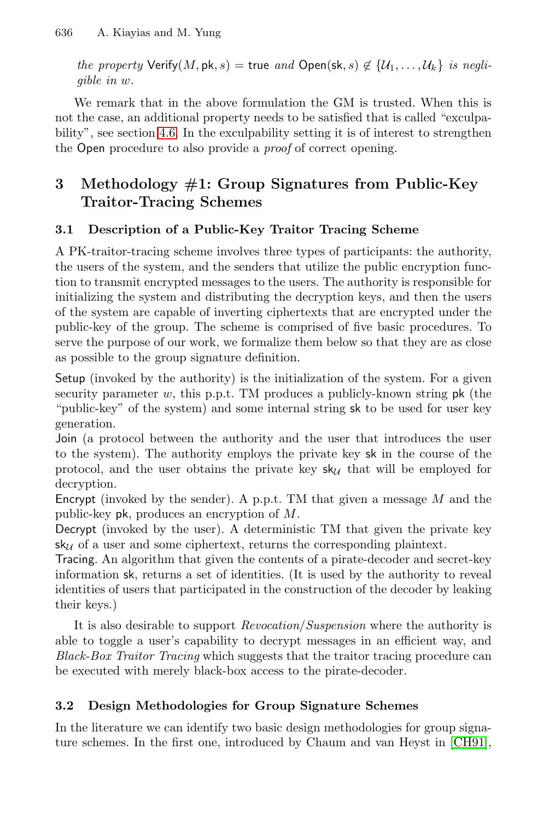*the property*  $Verify(M, pk, s) = true$  and  $Open(sk, s) \notin \{U_1, \ldots, U_k\}$  is negli*gible in* w*.*

We remark that in the above formulation the GM is trusted. When this is not the case, an additional property needs to be satisfied that is called "exculpability", see section [4.6.](#page-11-0) In the exculpability setting it is of interest to strengthen the Open procedure to also provide a *proof* of correct opening.

## **3 Methodology #1: Group Signatures from Public-Key Traitor-Tracing Schemes**

### **3.1 Description of a Public-Key Traitor Tracing Scheme**

A PK-traitor-tracing scheme involves three types of participants: the authority, the users of the system, and the senders that utilize the public encryption function to transmit encrypted messages to the users. The authority is responsible for initializing the system and distributing the decryption keys, and then the users of the system are capable of inverting ciphertexts that are encrypted under the public-key of the group. The scheme is comprised of five basic procedures. To serve the purpose of our work, we formalize them below so that they are as close as possible to the group signature definition.

Setup (invoked by the authority) is the initialization of the system. For a given security parameter  $w$ , this p.p.t. TM produces a publicly-known string  $pk$  (the "public-key" of the system) and some internal string sk to be used for user key generation.

Join (a protocol between the authority and the user that introduces the user to the system). The authority employs the private key sk in the course of the protocol, and the user obtains the private key  $sk_{\mathcal{U}}$  that will be employed for decryption.

Encrypt (invoked by the sender). A p.p.t. TM that given a message M and the public-key pk, produces an encryption of M.

Decrypt (invoked by the user). A deterministic TM that given the private key  $sk_{\mathcal{U}}$  of a user and some ciphertext, returns the corresponding plaintext.

Tracing. An algorithm that given the contents of a pirate-decoder and secret-key information sk, returns a set of identities. (It is used by the authority to reveal identities of users that participated in the construction of the decoder by leaking their keys.)

It is also desirable to support *Revocation*/*Suspension* where the authority is able to toggle a user's capability to decrypt messages in an efficient way, and *Black-Box Traitor Tracing* which suggests that the traitor tracing procedure can be executed with merely black-box access to the pirate-decoder.

### **3.2 Design Methodologies for Group Signature Schemes**

In the literature we can identify two basic design methodologies for group signature schemes. In the first one, introduced by Chaum and van Heyst in [\[CH91\]](#page-16-0),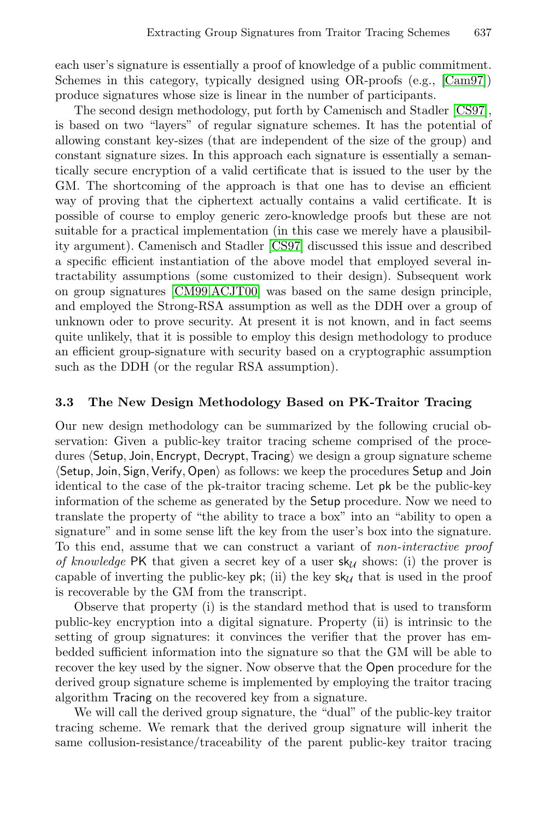each user's signature is essentially a proof of knowledge of a public commitment. Schemes in this category, typically designed using OR-proofs (e.g., [\[Cam97\]](#page-15-0)) produce signatures whose size is linear in the number of participants.

The second design methodology, put forth by Camenisch and Stadler [\[CS97\]](#page-16-0), is based on two "layers" of regular signature schemes. It has the potential of allowing constant key-sizes (that are independent of the size of the group) and constant signature sizes. In this approach each signature is essentially a semantically secure encryption of a valid certificate that is issued to the user by the GM. The shortcoming of the approach is that one has to devise an efficient way of proving that the ciphertext actually contains a valid certificate. It is possible of course to employ generic zero-knowledge proofs but these are not suitable for a practical implementation (in this case we merely have a plausibility argument). Camenisch and Stadler [\[CS97\]](#page-16-0) discussed this issue and described a specific efficient instantiation of the above model that employed several intractability assumptions (some customized to their design). Subsequent work on group signatures [\[CM99,ACJT00\]](#page-15-0) was based on the same design principle, and employed the Strong-RSA assumption as well as the DDH over a group of unknown oder to prove security. At present it is not known, and in fact seems quite unlikely, that it is possible to employ this design methodology to produce an efficient group-signature with security based on a cryptographic assumption such as the DDH (or the regular RSA assumption).

#### **3.3 The New Design Methodology Based on PK-Traitor Tracing**

Our new design methodology can be summarized by the following crucial observation: Given a public-key traitor tracing scheme comprised of the procedures (Setup, Join, Encrypt, Decrypt, Tracing) we design a group signature scheme  $\langle$  Setup, Join, Sign, Verify, Open $\rangle$  as follows: we keep the procedures Setup and Join identical to the case of the pk-traitor tracing scheme. Let pk be the public-key information of the scheme as generated by the Setup procedure. Now we need to translate the property of "the ability to trace a box" into an "ability to open a signature" and in some sense lift the key from the user's box into the signature. To this end, assume that we can construct a variant of *non-interactive proof of knowledge* PK that given a secret key of a user  $sk_{\mathcal{U}}$  shows: (i) the prover is capable of inverting the public-key pk; (ii) the key  $sk_{\mathcal{U}}$  that is used in the proof is recoverable by the GM from the transcript.

Observe that property (i) is the standard method that is used to transform public-key encryption into a digital signature. Property (ii) is intrinsic to the setting of group signatures: it convinces the verifier that the prover has embedded sufficient information into the signature so that the GM will be able to recover the key used by the signer. Now observe that the Open procedure for the derived group signature scheme is implemented by employing the traitor tracing algorithm Tracing on the recovered key from a signature.

We will call the derived group signature, the "dual" of the public-key traitor tracing scheme. We remark that the derived group signature will inherit the same collusion-resistance/traceability of the parent public-key traitor tracing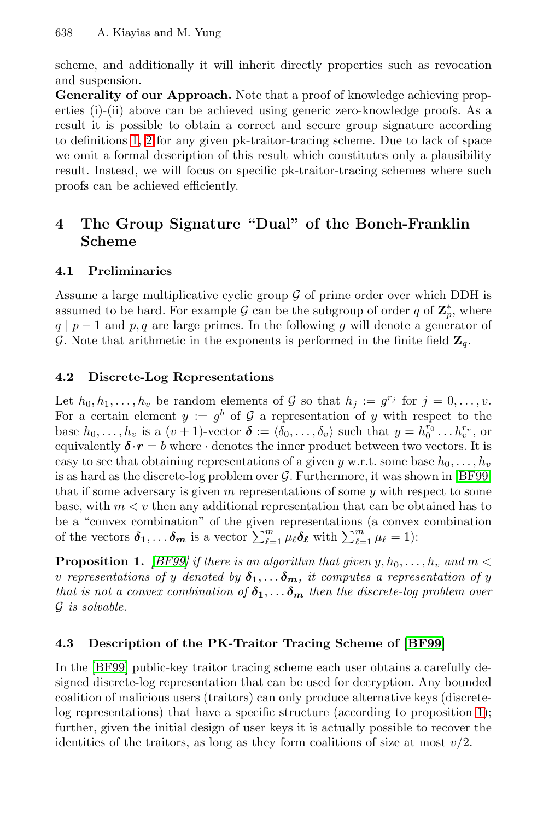<span id="page-8-0"></span>scheme, and additionally it will inherit directly properties such as revocation and suspension.

**Generality of our Approach.** Note that a proof of knowledge achieving properties (i)-(ii) above can be achieved using generic zero-knowledge proofs. As a result it is possible to obtain a correct and secure group signature according to definitions [1,](#page-4-0) [2](#page-5-0) for any given pk-traitor-tracing scheme. Due to lack of space we omit a formal description of this result which constitutes only a plausibility result. Instead, we will focus on specific pk-traitor-tracing schemes where such proofs can be achieved efficiently.

## **4 The Group Signature "Dual" of the Boneh-Franklin Scheme**

### **4.1 Preliminaries**

Assume a large multiplicative cyclic group  $\mathcal G$  of prime order over which DDH is assumed to be hard. For example  $\mathcal G$  can be the subgroup of order q of  $\mathbf Z_p^*$ , where  $q | p - 1$  and p, q are large primes. In the following q will denote a generator of G. Note that arithmetic in the exponents is performed in the finite field  $\mathbf{Z}_q$ .

### **4.2 Discrete-Log Representations**

Let  $h_0, h_1, \ldots, h_v$  be random elements of G so that  $h_j := g^{r_j}$  for  $j = 0, \ldots, v$ . For a certain element  $y := g^b$  of G a representation of y with respect to the base  $h_0, \ldots, h_v$  is a  $(v+1)$ -vector  $\boldsymbol{\delta} := \langle \delta_0, \ldots, \delta_v \rangle$  such that  $y = h_0^{r_0} \ldots h_v^{r_v}$ , or equivalently  $\delta \cdot r = b$  where  $\cdot$  denotes the inner product between two vectors. It is easy to see that obtaining representations of a given y w.r.t. some base  $h_0, \ldots, h_v$ is as hard as the discrete-log problem over G. Furthermore, it was shown in [\[BF99\]](#page-15-0) that if some adversary is given  $m$  representations of some  $y$  with respect to some base, with  $m < v$  then any additional representation that can be obtained has to be a "convex combination" of the given representations (a convex combination of the vectors  $\boldsymbol{\delta}_1, \dots \boldsymbol{\delta}_m$  is a vector  $\sum_{\ell=1}^m \mu_\ell \boldsymbol{\delta}_\ell$  with  $\sum_{\ell=1}^m \mu_\ell = 1$ :

**Proposition 1.** *[\[BF99\]](#page-15-0) if there is an algorithm that given*  $y, h_0, \ldots, h_v$  *and*  $m <$ *v representations of y denoted by*  $\delta_1, \ldots, \delta_m$ , *it computes a representation of y that is not a convex combination of*  $\delta_1$ ,...  $\delta_m$  *then the discrete-log problem over* G *is solvable.*

### **4.3 Description of the PK-Traitor Tracing Scheme of [\[BF99\]](#page-15-0)**

In the [\[BF99\]](#page-15-0) public-key traitor tracing scheme each user obtains a carefully designed discrete-log representation that can be used for decryption. Any bounded coalition of malicious users (traitors) can only produce alternative keys (discretelog representations) that have a specific structure (according to proposition 1); further, given the initial design of user keys it is actually possible to recover the identities of the traitors, as long as they form coalitions of size at most  $v/2$ .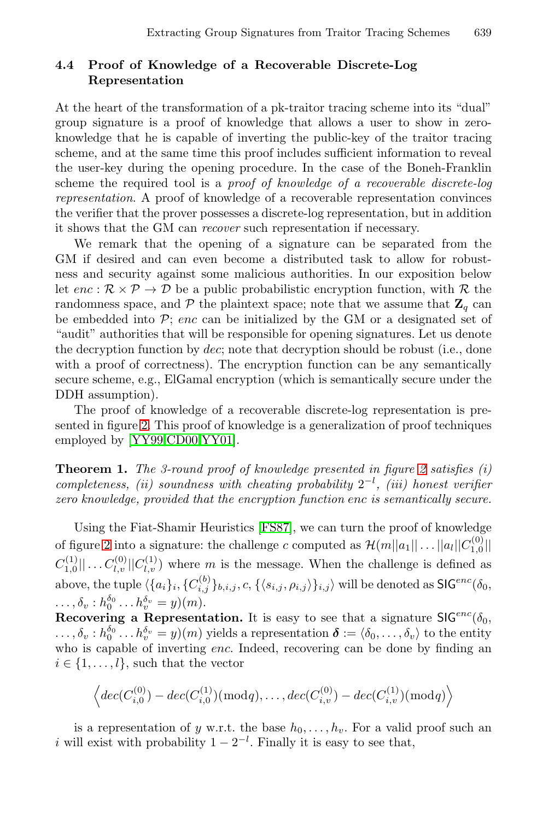#### <span id="page-9-0"></span>**4.4 Proof of Knowledge of a Recoverable Discrete-Log Representation**

At the heart of the transformation of a pk-traitor tracing scheme into its "dual" group signature is a proof of knowledge that allows a user to show in zeroknowledge that he is capable of inverting the public-key of the traitor tracing scheme, and at the same time this proof includes sufficient information to reveal the user-key during the opening procedure. In the case of the Boneh-Franklin scheme the required tool is a *proof of knowledge of a recoverable discrete-log representation*. A proof of knowledge of a recoverable representation convinces the verifier that the prover possesses a discrete-log representation, but in addition it shows that the GM can *recover* such representation if necessary.

We remark that the opening of a signature can be separated from the GM if desired and can even become a distributed task to allow for robustness and security against some malicious authorities. In our exposition below let  $enc : \mathcal{R} \times \mathcal{P} \to \mathcal{D}$  be a public probabilistic encryption function, with R the randomness space, and  $\mathcal{P}$  the plaintext space; note that we assume that  $\mathbf{Z}_q$  can be embedded into  $P$ ; enc can be initialized by the GM or a designated set of "audit" authorities that will be responsible for opening signatures. Let us denote the decryption function by *dec*; note that decryption should be robust (i.e., done with a proof of correctness). The encryption function can be any semantically secure scheme, e.g., ElGamal encryption (which is semantically secure under the DDH assumption).

The proof of knowledge of a recoverable discrete-log representation is presented in figure [2.](#page-10-0) This proof of knowledge is a generalization of proof techniques employed by [\[YY99](#page-18-0)[,CD00,](#page-15-0)[YY01\]](#page-18-0).

**Theorem 1.** *The 3-round proof of knowledge presented in figure [2](#page-10-0) satisfies (i) completeness, (ii) soundness with cheating probability* 2−<sup>l</sup> *, (iii) honest verifier zero knowledge, provided that the encryption function* enc *is semantically secure.*

Using the Fiat-Shamir Heuristics [\[FS87\]](#page-16-0), we can turn the proof of knowledge of figure [2](#page-10-0) into a signature: the challenge c computed as  $\mathcal{H}(m||a_1|| \dots ||a_l||C_{1,0}^{(0)}||$  $C_{1,0}^{(1)}\vert \vert \ldots C_{l,v}^{(0)}\vert \vert C_{l,v}^{(1)}$  where m is the message. When the challenge is defined as above, the tuple  $\langle \{a_i\}_i, \{C_{i,j}^{(b)}\}_{b,i,j}, c, \{\langle s_{i,j}, \rho_{i,j}\rangle\}_{i,j} \rangle$  will be denoted as  $\text{SIG}^{enc}(\delta_0,$  $\ldots, \delta_v : h_0^{\delta_0} \ldots h_v^{\delta_v} = y(m).$ 

**Recovering a Representation.** It is easy to see that a signature  $\text{SIG}^{enc}(\delta_0, \delta_0)$  $\ldots, \delta_v : h_0^{\delta_0} \ldots h_v^{\delta_v} = y(m)$  yields a representation  $\boldsymbol{\delta} := \langle \delta_0, \ldots, \delta_v \rangle$  to the entity who is capable of inverting *enc*. Indeed, recovering can be done by finding an  $i \in \{1, \ldots, l\}$ , such that the vector

$$
\left
$$

is a representation of y w.r.t. the base  $h_0, \ldots, h_v$ . For a valid proof such an i will exist with probability  $1 - 2^{-l}$ . Finally it is easy to see that,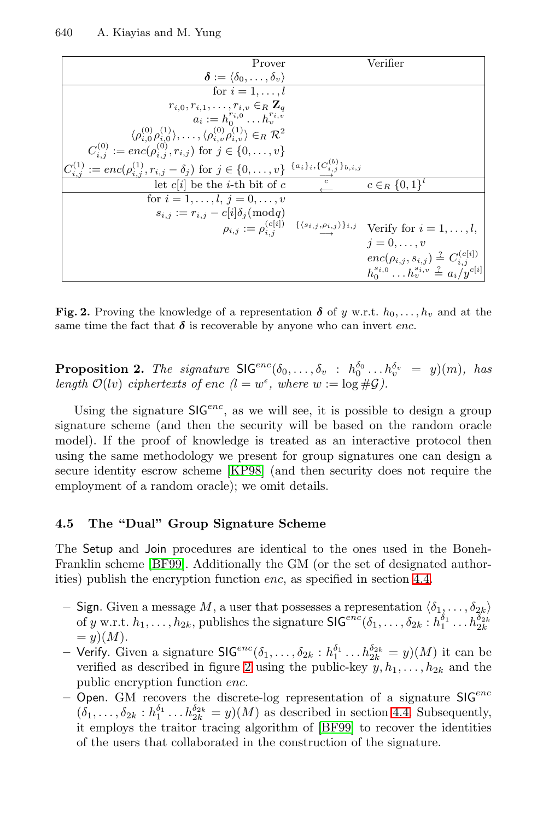<span id="page-10-0"></span>

| Prover                                                                                                                                   |                             | Verifier                                                                                                                           |
|------------------------------------------------------------------------------------------------------------------------------------------|-----------------------------|------------------------------------------------------------------------------------------------------------------------------------|
| $\boldsymbol{\delta} := \langle \delta_0, \ldots, \delta_v \rangle$                                                                      |                             |                                                                                                                                    |
| for $i=1,\ldots,l$                                                                                                                       |                             |                                                                                                                                    |
| $r_{i,0}, r_{i,1}, \ldots, r_{i,v} \in_R \mathbf{Z}_q$                                                                                   |                             |                                                                                                                                    |
| $a_i := h_0^{r_{i,0}} \dots h_v^{r_{i,v}}$                                                                                               |                             |                                                                                                                                    |
| $\langle \rho_{i,0}^{(0)} \rho_{i,0}^{(1)} \rangle, \ldots, \langle \rho_{i,v}^{(0)} \rho_{i,v}^{(1)} \rangle \in_R \mathcal{R}^2$       |                             |                                                                                                                                    |
| $C_{i,i}^{(0)} := \text{enc}(\rho_{i,j}^{(0)}, r_{i,j})$ for $j \in \{0, \ldots, v\}$                                                    |                             |                                                                                                                                    |
| $\left C_{i,j}^{(1)}:=enc(\rho_{i,j}^{(1)}, r_{i,j}-\delta_j) \right $ for $j \in \{0,\ldots,v\}$ $\{a_i\}_i, \{C_{i,j}^{(b)}\}_{b,i,j}$ | $\frac{\longrightarrow}{c}$ |                                                                                                                                    |
| let $c[i]$ be the <i>i</i> -th bit of c                                                                                                  |                             | $c \in_R \{0,1\}^l$                                                                                                                |
| for $i = 1, , l, j = 0, , v$                                                                                                             |                             |                                                                                                                                    |
| $s_{i,j} := r_{i,j} - c[i]\delta_j \pmod{q}$                                                                                             |                             |                                                                                                                                    |
|                                                                                                                                          |                             | $\rho_{i,j} := \rho_{i,j}^{(c[i])} \xrightarrow{\{\langle s_{i,j}, \rho_{i,j}\rangle\}_{i,j}} \text{Verify for } i = 1,\ldots, l,$ |
|                                                                                                                                          |                             | $i=0,\ldots,v$                                                                                                                     |
|                                                                                                                                          |                             | $enc(\rho_{i,j}, s_{i,j}) \stackrel{?}{=} C_{i,j}^{(c[i])}$                                                                        |
|                                                                                                                                          |                             | $h_0^{s_{i,0}}\ldots h_v^{s_{i,v}}\stackrel{?}{=} a_i/y^{c[i]}$                                                                    |

**Fig. 2.** Proving the knowledge of a representation  $\delta$  of y w.r.t.  $h_0, \ldots, h_v$  and at the same time the fact that  $\delta$  is recoverable by anyone who can invert enc.

**Proposition 2.** The signature  $\text{SIG}^{enc}(\delta_0, \ldots, \delta_v : h_0^{\delta_0} \ldots h_v^{\delta_v} = y)(m)$ , has *length*  $\mathcal{O}(lv)$  *ciphertexts of enc*  $(l = w^{\epsilon}, \text{ where } w := \log \#G)$ *.* 

Using the signature  $\mathsf{SIG}^{enc}$ , as we will see, it is possible to design a group signature scheme (and then the security will be based on the random oracle model). If the proof of knowledge is treated as an interactive protocol then using the same methodology we present for group signatures one can design a secure identity escrow scheme [\[KP98\]](#page-17-0) (and then security does not require the employment of a random oracle); we omit details.

#### **4.5 The "Dual" Group Signature Scheme**

The Setup and Join procedures are identical to the ones used in the Boneh-Franklin scheme [\[BF99\]](#page-15-0). Additionally the GM (or the set of designated authorities) publish the encryption function enc, as specified in section [4.4.](#page-9-0)

- **–** Sign. Given a message M, a user that possesses a representation  $\langle \delta_1, \ldots, \delta_{2k} \rangle$  of y w.r.t.  $h_1, \ldots, h_{2k}$ , publishes the signature  $\mathsf{SIG}^{enc}(\delta_1, \ldots, \delta_{2k} : h_1^{\delta_1} \ldots h_{2k}^{\delta_{2k}})$  $=y(M).$
- **–** Verify. Given a signature  $\text{SIG}^{enc}(\delta_1, \ldots, \delta_{2k} : h_1^{\delta_1} \ldots h_{2k}^{\delta_{2k}} = y)(M)$  it can be verified as described in figure 2 using the public-key  $y, h_1, \ldots, h_{2k}$  and the public encryption function enc.
- **–** Open. GM recovers the discrete-log representation of a signature SIGenc  $(\delta_1, \ldots, \delta_{2k} : h_1^{\delta_1} \ldots h_{2k}^{\delta_{2k}} = y)(M)$  as described in section [4.4.](#page-9-0) Subsequently, it employs the traitor tracing algorithm of [\[BF99\]](#page-15-0) to recover the identities of the users that collaborated in the construction of the signature.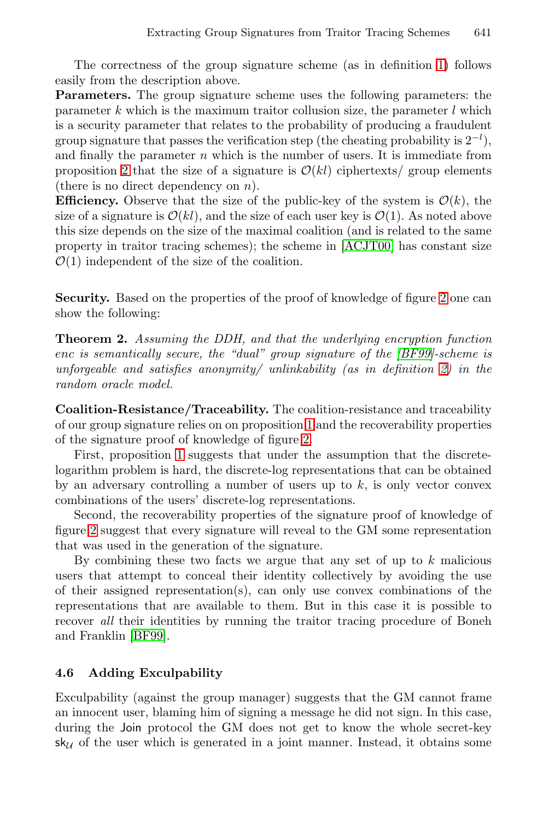<span id="page-11-0"></span>The correctness of the group signature scheme (as in definition [1\)](#page-4-0) follows easily from the description above.

**Parameters.** The group signature scheme uses the following parameters: the parameter  $k$  which is the maximum traitor collusion size, the parameter  $l$  which is a security parameter that relates to the probability of producing a fraudulent group signature that passes the verification step (the cheating probability is  $2^{-l}$ ), and finally the parameter  $n$  which is the number of users. It is immediate from proposition [2](#page-9-0) that the size of a signature is  $\mathcal{O}(kl)$  ciphertexts/ group elements (there is no direct dependency on  $n$ ).

**Efficiency.** Observe that the size of the public-key of the system is  $\mathcal{O}(k)$ , the size of a signature is  $\mathcal{O}(kl)$ , and the size of each user key is  $\mathcal{O}(1)$ . As noted above this size depends on the size of the maximal coalition (and is related to the same property in traitor tracing schemes); the scheme in [\[ACJT00\]](#page-15-0) has constant size  $\mathcal{O}(1)$  independent of the size of the coalition.

**Security.** Based on the properties of the proof of knowledge of figure [2](#page-10-0) one can show the following:

**Theorem 2.** *Assuming the DDH, and that the underlying encryption function* enc *is semantically secure, the "dual" group signature of the [\[BF99\]](#page-15-0)*-scheme is *unforgeable and satisfies anonymity/ unlinkability (as in definition [2\)](#page-5-0) in the random oracle model.*

**Coalition-Resistance/Traceability.** The coalition-resistance and traceability of our group signature relies on on proposition [1](#page-8-0) and the recoverability properties of the signature proof of knowledge of figure [2.](#page-10-0)

First, proposition [1](#page-8-0) suggests that under the assumption that the discretelogarithm problem is hard, the discrete-log representations that can be obtained by an adversary controlling a number of users up to  $k$ , is only vector convex combinations of the users' discrete-log representations.

Second, the recoverability properties of the signature proof of knowledge of figure [2](#page-10-0) suggest that every signature will reveal to the GM some representation that was used in the generation of the signature.

By combining these two facts we argue that any set of up to  $k$  malicious users that attempt to conceal their identity collectively by avoiding the use of their assigned representation(s), can only use convex combinations of the representations that are available to them. But in this case it is possible to recover *all* their identities by running the traitor tracing procedure of Boneh and Franklin [\[BF99\]](#page-15-0).

### **4.6 Adding Exculpability**

Exculpability (against the group manager) suggests that the GM cannot frame an innocent user, blaming him of signing a message he did not sign. In this case, during the Join protocol the GM does not get to know the whole secret-key  $sk_{\mathcal{U}}$  of the user which is generated in a joint manner. Instead, it obtains some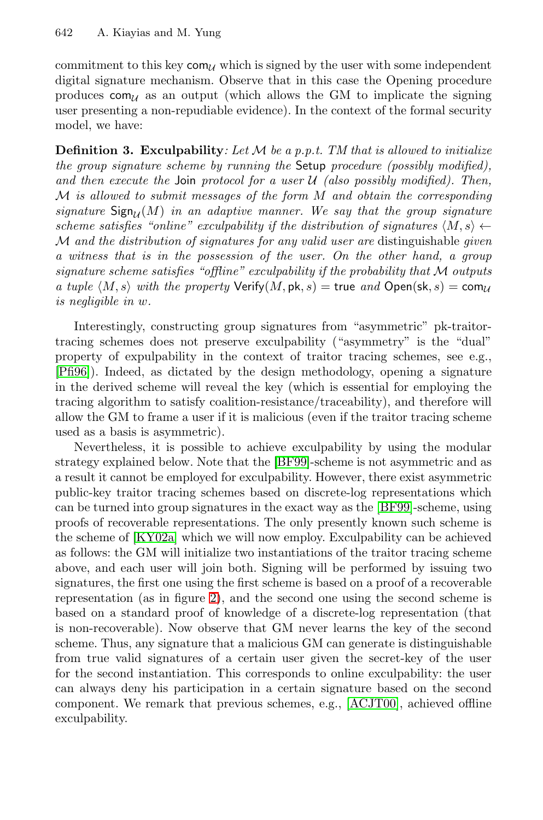commitment to this key  $com_{\mathcal{U}}$  which is signed by the user with some independent digital signature mechanism. Observe that in this case the Opening procedure produces  $com_{\mathcal{U}}$  as an output (which allows the GM to implicate the signing user presenting a non-repudiable evidence). In the context of the formal security model, we have:

**Definition 3. Exculpability***: Let* M *be a p.p.t. TM that is allowed to initialize the group signature scheme by running the* Setup *procedure (possibly modified), and then execute the* Join *protocol for a user* U *(also possibly modified). Then,* M *is allowed to submit messages of the form* M *and obtain the corresponding*  $signature$   $Sign_{\lambda}(M)$  *in an adaptive manner. We say that the group signature* scheme satisfies "online" exculpability if the distribution of signatures  $\langle M, s \rangle \leftarrow$ M *and the distribution of signatures for any valid user are* distinguishable *given a witness that is in the possession of the user. On the other hand, a group signature scheme satisfies "offline" exculpability if the probability that* M *outputs a tuple*  $\langle M, s \rangle$  *with the property* Verify $(M, \text{pk}, s) = \text{true}$  *and*  $\text{Open}(\text{sk}, s) = \text{com}_U$ *is negligible in* w*.*

Interestingly, constructing group signatures from "asymmetric" pk-traitortracing schemes does not preserve exculpability ("asymmetry" is the "dual" property of expulpability in the context of traitor tracing schemes, see e.g., [\[Pfi96\]](#page-17-0)). Indeed, as dictated by the design methodology, opening a signature in the derived scheme will reveal the key (which is essential for employing the tracing algorithm to satisfy coalition-resistance/traceability), and therefore will allow the GM to frame a user if it is malicious (even if the traitor tracing scheme used as a basis is asymmetric).

Nevertheless, it is possible to achieve exculpability by using the modular strategy explained below. Note that the [\[BF99\]](#page-15-0)-scheme is not asymmetric and as a result it cannot be employed for exculpability. However, there exist asymmetric public-key traitor tracing schemes based on discrete-log representations which can be turned into group signatures in the exact way as the [\[BF99\]](#page-15-0)-scheme, using proofs of recoverable representations. The only presently known such scheme is the scheme of [\[KY02a\]](#page-17-0) which we will now employ. Exculpability can be achieved as follows: the GM will initialize two instantiations of the traitor tracing scheme above, and each user will join both. Signing will be performed by issuing two signatures, the first one using the first scheme is based on a proof of a recoverable representation (as in figure [2\)](#page-10-0), and the second one using the second scheme is based on a standard proof of knowledge of a discrete-log representation (that is non-recoverable). Now observe that GM never learns the key of the second scheme. Thus, any signature that a malicious GM can generate is distinguishable from true valid signatures of a certain user given the secret-key of the user for the second instantiation. This corresponds to online exculpability: the user can always deny his participation in a certain signature based on the second component. We remark that previous schemes, e.g., [\[ACJT00\]](#page-15-0), achieved offline exculpability.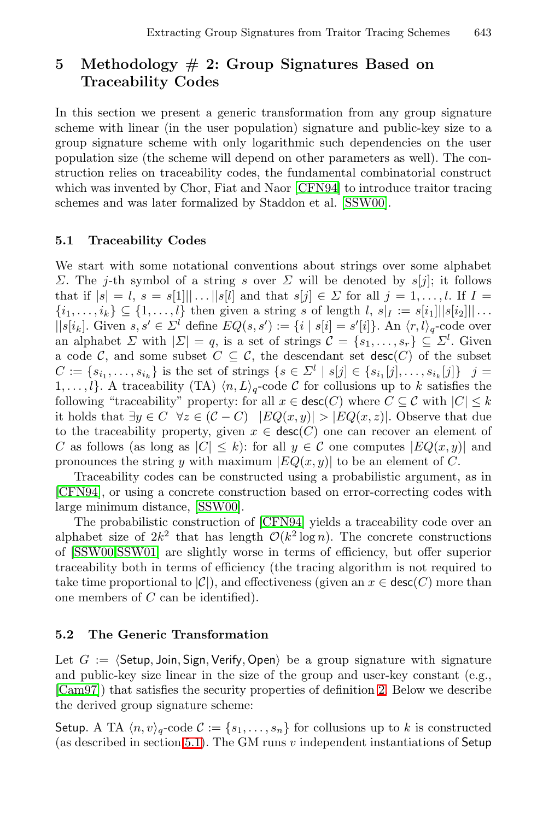## **5 Methodology # 2: Group Signatures Based on Traceability Codes**

In this section we present a generic transformation from any group signature scheme with linear (in the user population) signature and public-key size to a group signature scheme with only logarithmic such dependencies on the user population size (the scheme will depend on other parameters as well). The construction relies on traceability codes, the fundamental combinatorial construct which was invented by Chor, Fiat and Naor [\[CFN94\]](#page-16-0) to introduce traitor tracing schemes and was later formalized by Staddon et al. [\[SSW00\]](#page-17-0).

#### **5.1 Traceability Codes**

We start with some notational conventions about strings over some alphabet Σ. The j-th symbol of a string s over Σ will be denoted by  $s[j]$ ; it follows that if  $|s| = l$ ,  $s = s[1] \dots |s[l]$  and that  $s[j] \in \Sigma$  for all  $j = 1, \dots, l$ . If  $I =$  $\{i_1,\ldots,i_k\}\subseteq\{1,\ldots,l\}$  then given a string s of length  $l, s|_I := s[i_1]||s[i_2]||\ldots$  $||s[i_k]$ . Given  $s, s' \in \Sigma^l$  define  $EQ(s, s') := \{i \mid s[i] = s'[i]\}$ . An  $\langle r, l \rangle_q$ -code over an alphabet  $\Sigma$  with  $|\Sigma| = q$ , is a set of strings  $\mathcal{C} = \{s_1, \ldots, s_r\} \subseteq \Sigma^l$ . Given a code C, and some subset  $C \subseteq \mathcal{C}$ , the descendant set  $\text{desc}(C)$  of the subset  $C := \{s_{i_1}, \ldots, s_{i_k}\}\$ is the set of strings  $\{s \in \Sigma^l \mid s[j] \in \{s_{i_1}[j], \ldots, s_{i_k}[j]\}\$  j =  $1, \ldots, l$ . A traceability (TA)  $\langle n, L \rangle_q$ -code C for collusions up to k satisfies the following "traceability" property: for all  $x \in \text{desc}(C)$  where  $C \subseteq \mathcal{C}$  with  $|C| \leq k$ it holds that  $\exists y \in C \ \forall z \in (C - C) \ |EQ(x, y)| > |EQ(x, z)|$ . Observe that due to the traceability property, given  $x \in \text{desc}(C)$  one can recover an element of C as follows (as long as  $|C| \leq k$ ): for all  $y \in C$  one computes  $|EQ(x, y)|$  and pronounces the string y with maximum  $|EQ(x, y)|$  to be an element of C.

Traceability codes can be constructed using a probabilistic argument, as in [\[CFN94\]](#page-16-0), or using a concrete construction based on error-correcting codes with large minimum distance, [\[SSW00\]](#page-17-0).

The probabilistic construction of [\[CFN94\]](#page-16-0) yields a traceability code over an alphabet size of  $2k^2$  that has length  $\mathcal{O}(k^2 \log n)$ . The concrete constructions of [\[SSW00,SSW01\]](#page-17-0) are slightly worse in terms of efficiency, but offer superior traceability both in terms of efficiency (the tracing algorithm is not required to take time proportional to  $|\mathcal{C}|$ , and effectiveness (given an  $x \in \text{desc}(C)$  more than one members of C can be identified).

#### **5.2 The Generic Transformation**

Let  $G := \langle$  Setup, Join, Sign, Verify, Open $\rangle$  be a group signature with signature and public-key size linear in the size of the group and user-key constant (e.g., [\[Cam97\]](#page-15-0)) that satisfies the security properties of definition [2.](#page-5-0) Below we describe the derived group signature scheme:

Setup. A TA  $\langle n, v \rangle_q$ -code  $\mathcal{C} := \{s_1, \ldots, s_n\}$  for collusions up to k is constructed (as described in section 5.1). The GM runs  $v$  independent instantiations of Setup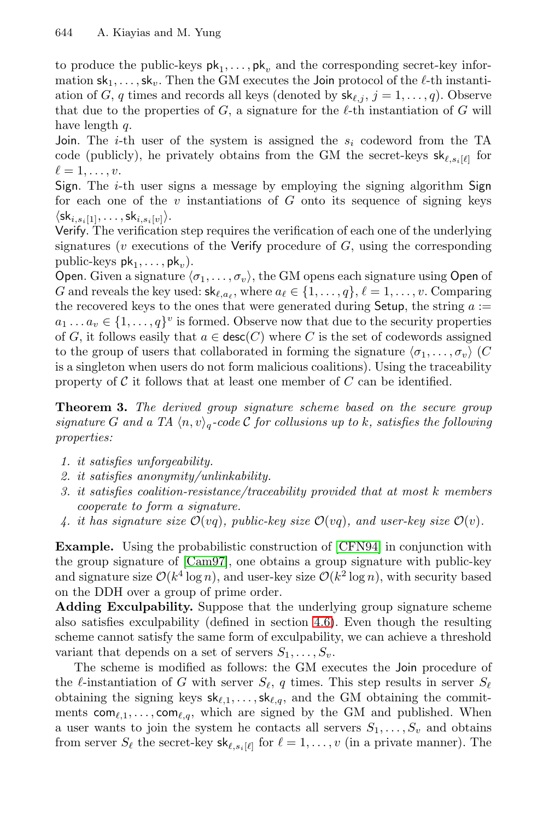to produce the public-keys  $pk_1, \ldots, pk_n$  and the corresponding secret-key information  $sk_1, \ldots, sk_v$ . Then the GM executes the Join protocol of the  $\ell$ -th instantiation of G, q times and records all keys (denoted by  $\mathsf{sk}_{\ell,j}, j = 1,\ldots,q$ ). Observe that due to the properties of  $G$ , a signature for the  $\ell$ -th instantiation of  $G$  will have length q.

Join. The *i*-th user of the system is assigned the  $s_i$  codeword from the TA code (publicly), he privately obtains from the GM the secret-keys  $sk_{\ell,s_i[\ell]}$  for  $\ell = 1,\ldots,v.$ 

Sign. The  $i$ -th user signs a message by employing the signing algorithm Sign for each one of the v instantiations of G onto its sequence of signing keys  $\langle$ sk $_{i,s_i[1]},\ldots,$ sk $_{i,s_i[v]}\rangle$ .

Verify. The verification step requires the verification of each one of the underlying signatures ( $v$  executions of the Verify procedure of  $G$ , using the corresponding public-keys  $pk_1, \ldots, pk_v$ ).

Open. Given a signature  $\langle \sigma_1,\ldots,\sigma_v\rangle,$  the GM opens each signature using Open of G and reveals the key used:  $\mathsf{sk}_{\ell,a_{\ell}}$ , where  $a_{\ell} \in \{1,\ldots,q\}, \ell = 1,\ldots,v$ . Comparing the recovered keys to the ones that were generated during  $Setup$ , the string  $a :=$  $a_1 \ldots a_v \in \{1, \ldots, q\}^v$  is formed. Observe now that due to the security properties of G, it follows easily that  $a \in \text{desc}(C)$  where C is the set of codewords assigned to the group of users that collaborated in forming the signature  $\langle \sigma_1, \ldots, \sigma_v \rangle$  (C is a singleton when users do not form malicious coalitions). Using the traceability property of  $\mathcal C$  it follows that at least one member of  $C$  can be identified.

**Theorem 3.** *The derived group signature scheme based on the secure group* signature G and a TA  $\langle n,v \rangle_q$ -code C for collusions up to k, satisfies the following *properties:*

- *1. it satisfies unforgeability.*
- *2. it satisfies anonymity/unlinkability.*
- *3. it satisfies coalition-resistance/traceability provided that at most* k *members cooperate to form a signature.*
- 4. it has signature size  $\mathcal{O}(vq)$ , public-key size  $\mathcal{O}(vq)$ , and user-key size  $\mathcal{O}(v)$ .

**Example.** Using the probabilistic construction of [\[CFN94\]](#page-16-0) in conjunction with the group signature of [\[Cam97\]](#page-15-0), one obtains a group signature with public-key and signature size  $\mathcal{O}(k^4 \log n)$ , and user-key size  $\mathcal{O}(k^2 \log n)$ , with security based on the DDH over a group of prime order.

**Adding Exculpability.** Suppose that the underlying group signature scheme also satisfies exculpability (defined in section [4.6\)](#page-11-0). Even though the resulting scheme cannot satisfy the same form of exculpability, we can achieve a threshold variant that depends on a set of servers  $S_1, \ldots, S_v$ .

The scheme is modified as follows: the GM executes the Join procedure of the  $\ell$ -instantiation of G with server  $S_{\ell}$ , q times. This step results in server  $S_{\ell}$ obtaining the signing keys  $sk_{\ell,1},\ldots, sk_{\ell,q}$ , and the GM obtaining the commitments  $\text{com}_{\ell,1},\ldots,\text{com}_{\ell,q}$ , which are signed by the GM and published. When a user wants to join the system he contacts all servers  $S_1, \ldots, S_v$  and obtains from server  $S_{\ell}$  the secret-key  $\mathsf{sk}_{\ell,s_i[\ell]}$  for  $\ell=1,\ldots,v$  (in a private manner). The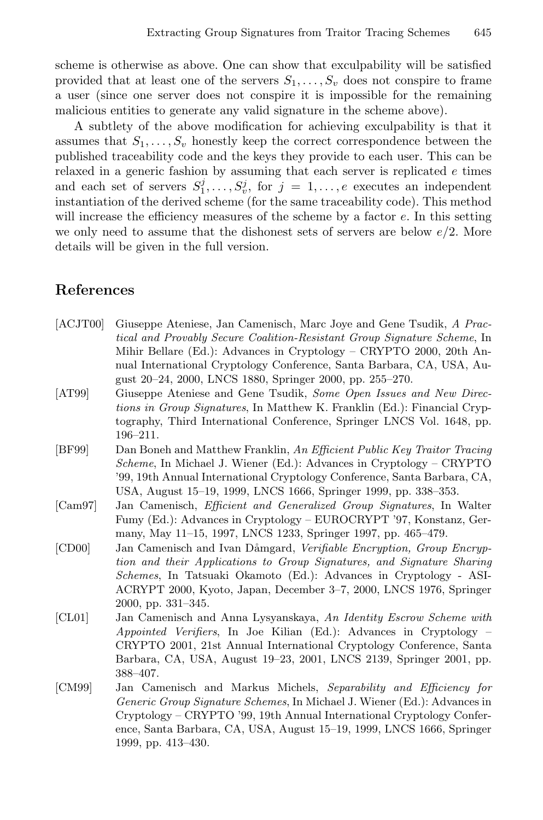<span id="page-15-0"></span>scheme is otherwise as above. One can show that exculpability will be satisfied provided that at least one of the servers  $S_1, \ldots, S_v$  does not conspire to frame a user (since one server does not conspire it is impossible for the remaining malicious entities to generate any valid signature in the scheme above).

A subtlety of the above modification for achieving exculpability is that it assumes that  $S_1, \ldots, S_v$  honestly keep the correct correspondence between the published traceability code and the keys they provide to each user. This can be relaxed in a generic fashion by assuming that each server is replicated e times and each set of servers  $S_1^j, \ldots, S_v^j$ , for  $j = 1, \ldots, e$  executes an independent instantiation of the derived scheme (for the same traceability code). This method will increase the efficiency measures of the scheme by a factor  $e$ . In this setting we only need to assume that the dishonest sets of servers are below  $e/2$ . More details will be given in the full version.

### **References**

| [ACJTO0] | Giuseppe Ateniese, Jan Camenisch, Marc Joye and Gene Tsudik, A Prac-<br>tical and Provably Secure Coalition-Resistant Group Signature Scheme, In<br>Mihir Bellare (Ed.): Advances in Cryptology – CRYPTO 2000, 20th An-                                                                                                         |
|----------|---------------------------------------------------------------------------------------------------------------------------------------------------------------------------------------------------------------------------------------------------------------------------------------------------------------------------------|
|          | nual International Cryptology Conference, Santa Barbara, CA, USA, Au-<br>gust 20–24, 2000, LNCS 1880, Springer 2000, pp. 255–270.                                                                                                                                                                                               |
| [AT99]   | Giuseppe Ateniese and Gene Tsudik, Some Open Issues and New Direc-<br>tions in Group Signatures, In Matthew K. Franklin (Ed.): Financial Cryp-<br>tography, Third International Conference, Springer LNCS Vol. 1648, pp.<br>$196 - 211.$                                                                                        |
| [BF99]   | Dan Boneh and Matthew Franklin, An Efficient Public Key Traitor Tracing<br><i>Scheme</i> , In Michael J. Wiener (Ed.): Advances in Cryptology – CRYPTO<br>'99, 19th Annual International Cryptology Conference, Santa Barbara, CA,<br>USA, August 15-19, 1999, LNCS 1666, Springer 1999, pp. 338-353.                           |
| [Cam 97] | Jan Camenisch, <i>Efficient and Generalized Group Signatures</i> , In Walter<br>Fumy (Ed.): Advances in Cryptology – EUROCRYPT '97, Konstanz, Ger-<br>many, May 11–15, 1997, LNCS 1233, Springer 1997, pp. 465–479.                                                                                                             |
| [CD00]   | Jan Camenisch and Ivan Dåmgard, Verifiable Encryption, Group Encryp-<br>tion and their Applications to Group Signatures, and Signature Sharing<br><i>Schemes</i> , In Tatsuaki Okamoto (Ed.): Advances in Cryptology - ASI-<br>ACRYPT 2000, Kyoto, Japan, December 3–7, 2000, LNCS 1976, Springer<br>$2000$ , pp. $331-345$ .   |
| [CL01]   | Jan Camenisch and Anna Lysyanskaya, An Identity Escrow Scheme with<br><i>Appointed Verifiers</i> , In Joe Kilian (Ed.): Advances in Cryptology –<br>CRYPTO 2001, 21st Annual International Cryptology Conference, Santa<br>Barbara, CA, USA, August 19–23, 2001, LNCS 2139, Springer 2001, pp.<br>$388 - 407.$                  |
| [CM99]   | Jan Camenisch and Markus Michels, Separability and Efficiency for<br><i>Generic Group Signature Schemes,</i> In Michael J. Wiener (Ed.): Advances in<br>Cryptology – CRYPTO '99, 19th Annual International Cryptology Confer-<br>ence, Santa Barbara, CA, USA, August 15–19, 1999, LNCS 1666, Springer<br>1999, pp. $413-430$ . |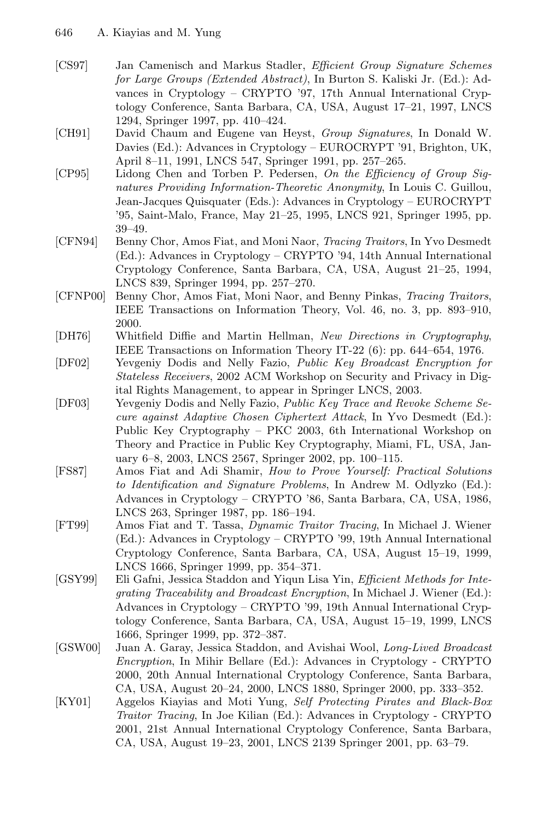- <span id="page-16-0"></span>[CS97] Jan Camenisch and Markus Stadler, Efficient Group Signature Schemes for Large Groups (Extended Abstract), In Burton S. Kaliski Jr. (Ed.): Advances in Cryptology – CRYPTO '97, 17th Annual International Cryptology Conference, Santa Barbara, CA, USA, August 17–21, 1997, LNCS 1294, Springer 1997, pp. 410–424.
- [CH91] David Chaum and Eugene van Heyst, Group Signatures, In Donald W. Davies (Ed.): Advances in Cryptology – EUROCRYPT '91, Brighton, UK, April 8–11, 1991, LNCS 547, Springer 1991, pp. 257–265.
- [CP95] Lidong Chen and Torben P. Pedersen, On the Efficiency of Group Signatures Providing Information-Theoretic Anonymity, In Louis C. Guillou, Jean-Jacques Quisquater (Eds.): Advances in Cryptology – EUROCRYPT '95, Saint-Malo, France, May 21–25, 1995, LNCS 921, Springer 1995, pp. 39–49.
- [CFN94] Benny Chor, Amos Fiat, and Moni Naor, Tracing Traitors, In Yvo Desmedt (Ed.): Advances in Cryptology – CRYPTO '94, 14th Annual International Cryptology Conference, Santa Barbara, CA, USA, August 21–25, 1994, LNCS 839, Springer 1994, pp. 257–270.
- [CFNP00] Benny Chor, Amos Fiat, Moni Naor, and Benny Pinkas, Tracing Traitors, IEEE Transactions on Information Theory, Vol. 46, no. 3, pp. 893–910, 2000.
- [DH76] Whitfield Diffie and Martin Hellman, New Directions in Cryptography, IEEE Transactions on Information Theory IT-22 (6): pp. 644–654, 1976.
- [DF02] Yevgeniy Dodis and Nelly Fazio, Public Key Broadcast Encryption for Stateless Receivers, 2002 ACM Workshop on Security and Privacy in Digital Rights Management, to appear in Springer LNCS, 2003.
- [DF03] Yevgeniy Dodis and Nelly Fazio, Public Key Trace and Revoke Scheme Secure against Adaptive Chosen Ciphertext Attack, In Yvo Desmedt (Ed.): Public Key Cryptography – PKC 2003, 6th International Workshop on Theory and Practice in Public Key Cryptography, Miami, FL, USA, January 6–8, 2003, LNCS 2567, Springer 2002, pp. 100–115.
- [FS87] Amos Fiat and Adi Shamir, How to Prove Yourself: Practical Solutions to Identification and Signature Problems, In Andrew M. Odlyzko (Ed.): Advances in Cryptology – CRYPTO '86, Santa Barbara, CA, USA, 1986, LNCS 263, Springer 1987, pp. 186–194.
- [FT99] Amos Fiat and T. Tassa, Dynamic Traitor Tracing, In Michael J. Wiener (Ed.): Advances in Cryptology – CRYPTO '99, 19th Annual International Cryptology Conference, Santa Barbara, CA, USA, August 15–19, 1999, LNCS 1666, Springer 1999, pp. 354–371.
- [GSY99] Eli Gafni, Jessica Staddon and Yiqun Lisa Yin, Efficient Methods for Integrating Traceability and Broadcast Encryption, In Michael J. Wiener (Ed.): Advances in Cryptology – CRYPTO '99, 19th Annual International Cryptology Conference, Santa Barbara, CA, USA, August 15–19, 1999, LNCS 1666, Springer 1999, pp. 372–387.
- [GSW00] Juan A. Garay, Jessica Staddon, and Avishai Wool, Long-Lived Broadcast Encryption, In Mihir Bellare (Ed.): Advances in Cryptology - CRYPTO 2000, 20th Annual International Cryptology Conference, Santa Barbara, CA, USA, August 20–24, 2000, LNCS 1880, Springer 2000, pp. 333–352.
- [KY01] Aggelos Kiayias and Moti Yung, Self Protecting Pirates and Black-Box Traitor Tracing, In Joe Kilian (Ed.): Advances in Cryptology - CRYPTO 2001, 21st Annual International Cryptology Conference, Santa Barbara, CA, USA, August 19–23, 2001, LNCS 2139 Springer 2001, pp. 63–79.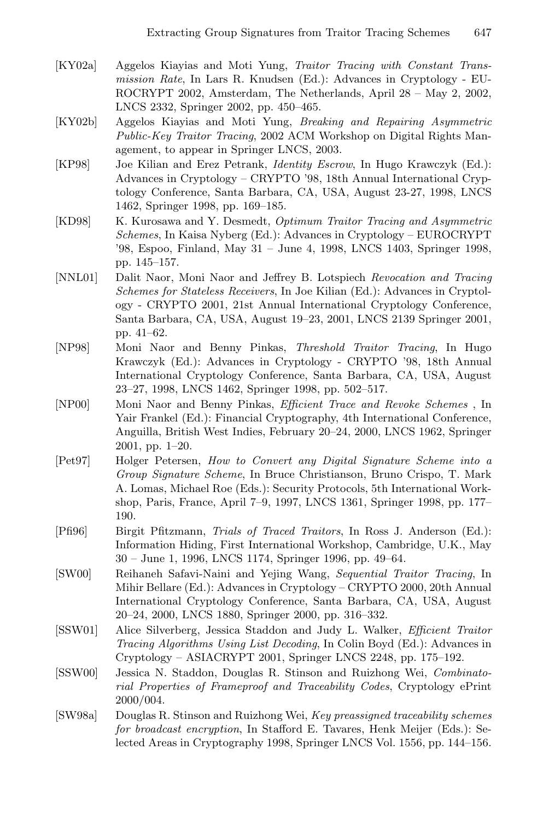- <span id="page-17-0"></span>[KY02a] Aggelos Kiayias and Moti Yung, Traitor Tracing with Constant Transmission Rate, In Lars R. Knudsen (Ed.): Advances in Cryptology - EU-ROCRYPT 2002, Amsterdam, The Netherlands, April 28 – May 2, 2002, LNCS 2332, Springer 2002, pp. 450–465.
- [KY02b] Aggelos Kiayias and Moti Yung, Breaking and Repairing Asymmetric Public-Key Traitor Tracing, 2002 ACM Workshop on Digital Rights Management, to appear in Springer LNCS, 2003.
- [KP98] Joe Kilian and Erez Petrank, Identity Escrow, In Hugo Krawczyk (Ed.): Advances in Cryptology – CRYPTO '98, 18th Annual International Cryptology Conference, Santa Barbara, CA, USA, August 23-27, 1998, LNCS 1462, Springer 1998, pp. 169–185.
- [KD98] K. Kurosawa and Y. Desmedt, *Optimum Traitor Tracing and Asymmetric* Schemes, In Kaisa Nyberg (Ed.): Advances in Cryptology – EUROCRYPT '98, Espoo, Finland, May 31 – June 4, 1998, LNCS 1403, Springer 1998, pp. 145–157.
- [NNL01] Dalit Naor, Moni Naor and Jeffrey B. Lotspiech Revocation and Tracing Schemes for Stateless Receivers, In Joe Kilian (Ed.): Advances in Cryptology - CRYPTO 2001, 21st Annual International Cryptology Conference, Santa Barbara, CA, USA, August 19–23, 2001, LNCS 2139 Springer 2001, pp. 41–62.
- [NP98] Moni Naor and Benny Pinkas, Threshold Traitor Tracing, In Hugo Krawczyk (Ed.): Advances in Cryptology - CRYPTO '98, 18th Annual International Cryptology Conference, Santa Barbara, CA, USA, August 23–27, 1998, LNCS 1462, Springer 1998, pp. 502–517.
- [NP00] Moni Naor and Benny Pinkas, Efficient Trace and Revoke Schemes , In Yair Frankel (Ed.): Financial Cryptography, 4th International Conference, Anguilla, British West Indies, February 20–24, 2000, LNCS 1962, Springer 2001, pp. 1–20.
- [Pet97] Holger Petersen, How to Convert any Digital Signature Scheme into a Group Signature Scheme, In Bruce Christianson, Bruno Crispo, T. Mark A. Lomas, Michael Roe (Eds.): Security Protocols, 5th International Workshop, Paris, France, April 7–9, 1997, LNCS 1361, Springer 1998, pp. 177– 190.
- [Pfi96] Birgit Pfitzmann, Trials of Traced Traitors, In Ross J. Anderson (Ed.): Information Hiding, First International Workshop, Cambridge, U.K., May 30 – June 1, 1996, LNCS 1174, Springer 1996, pp. 49–64.
- [SW00] Reihaneh Safavi-Naini and Yejing Wang, Sequential Traitor Tracing, In Mihir Bellare (Ed.): Advances in Cryptology – CRYPTO 2000, 20th Annual International Cryptology Conference, Santa Barbara, CA, USA, August 20–24, 2000, LNCS 1880, Springer 2000, pp. 316–332.
- [SSW01] Alice Silverberg, Jessica Staddon and Judy L. Walker, Efficient Traitor Tracing Algorithms Using List Decoding, In Colin Boyd (Ed.): Advances in Cryptology – ASIACRYPT 2001, Springer LNCS 2248, pp. 175–192.
- [SSW00] Jessica N. Staddon, Douglas R. Stinson and Ruizhong Wei, Combinatorial Properties of Frameproof and Traceability Codes, Cryptology ePrint 2000/004.
- [SW98a] Douglas R. Stinson and Ruizhong Wei, Key preassigned traceability schemes for broadcast encryption, In Stafford E. Tavares, Henk Meijer (Eds.): Selected Areas in Cryptography 1998, Springer LNCS Vol. 1556, pp. 144–156.